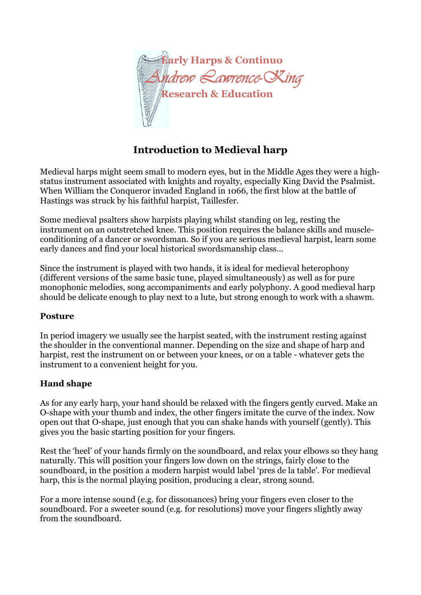

# **Introduction to Medieval harp**

Medieval harps might seem small to modern eyes, but in the Middle Ages they were a highstatus instrument associated with knights and royalty, especially King David the Psalmist. When William the Conqueror invaded England in 1066, the first blow at the battle of Hastings was struck by his faithful harpist, Taillesfer.

Some medieval psalters show harpists playing whilst standing on leg, resting the instrument on an outstretched knee. This position requires the balance skills and muscleconditioning of a dancer or swordsman. So if you are serious medieval harpist, learn some early dances and find your local historical swordsmanship class…

Since the instrument is played with two hands, it is ideal for medieval heterophony (different versions of the same basic tune, played simultaneously) as well as for pure monophonic melodies, song accompaniments and early polyphony. A good medieval harp should be delicate enough to play next to a lute, but strong enough to work with a shawm.

## **Posture**

In period imagery we usually see the harpist seated, with the instrument resting against the shoulder in the conventional manner. Depending on the size and shape of harp and harpist, rest the instrument on or between your knees, or on a table - whatever gets the instrument to a convenient height for you.

## **Hand shape**

As for any early harp, your hand should be relaxed with the fingers gently curved. Make an O-shape with your thumb and index, the other fingers imitate the curve of the index. Now open out that O-shape, just enough that you can shake hands with yourself (gently). This gives you the basic starting position for your fingers.

Rest the 'heel' of your hands firmly on the soundboard, and relax your elbows so they hang naturally. This will position your fingers low down on the strings, fairly close to the soundboard, in the position a modern harpist would label 'pres de la table'. For medieval harp, this is the normal playing position, producing a clear, strong sound.

For a more intense sound (e.g. for dissonances) bring your fingers even closer to the soundboard. For a sweeter sound (e.g. for resolutions) move your fingers slightly away from the soundboard.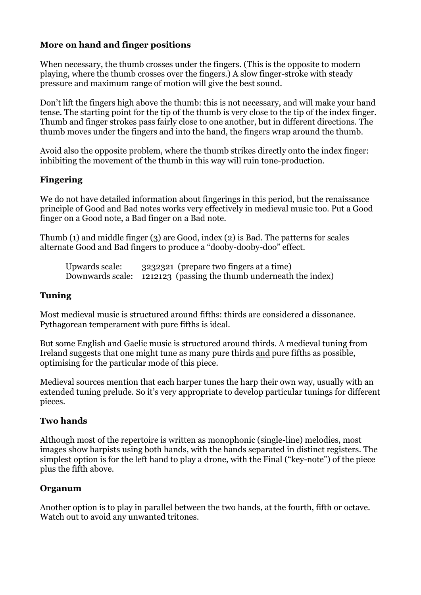# **More on hand and finger positions**

When necessary, the thumb crosses under the fingers. (This is the opposite to modern playing, where the thumb crosses over the fingers.) A slow finger-stroke with steady pressure and maximum range of motion will give the best sound.

Don't lift the fingers high above the thumb: this is not necessary, and will make your hand tense. The starting point for the tip of the thumb is very close to the tip of the index finger. Thumb and finger strokes pass fairly close to one another, but in different directions. The thumb moves under the fingers and into the hand, the fingers wrap around the thumb.

Avoid also the opposite problem, where the thumb strikes directly onto the index finger: inhibiting the movement of the thumb in this way will ruin tone-production.

## **Fingering**

We do not have detailed information about fingerings in this period, but the renaissance principle of Good and Bad notes works very effectively in medieval music too. Put a Good finger on a Good note, a Bad finger on a Bad note.

Thumb (1) and middle finger (3) are Good, index (2) is Bad. The patterns for scales alternate Good and Bad fingers to produce a "dooby-dooby-doo" effect.

| Upwards scale: | 3232321 (prepare two fingers at a time)                           |
|----------------|-------------------------------------------------------------------|
|                | Downwards scale: 1212123 (passing the thumb underneath the index) |

#### **Tuning**

Most medieval music is structured around fifths: thirds are considered a dissonance. Pythagorean temperament with pure fifths is ideal.

But some English and Gaelic music is structured around thirds. A medieval tuning from Ireland suggests that one might tune as many pure thirds and pure fifths as possible, optimising for the particular mode of this piece.

Medieval sources mention that each harper tunes the harp their own way, usually with an extended tuning prelude. So it's very appropriate to develop particular tunings for different pieces.

## **Two hands**

Although most of the repertoire is written as monophonic (single-line) melodies, most images show harpists using both hands, with the hands separated in distinct registers. The simplest option is for the left hand to play a drone, with the Final ("key-note") of the piece plus the fifth above.

#### **Organum**

Another option is to play in parallel between the two hands, at the fourth, fifth or octave. Watch out to avoid any unwanted tritones.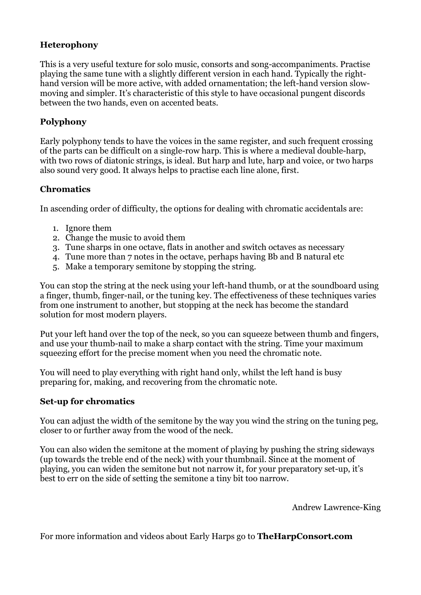# **Heterophony**

This is a very useful texture for solo music, consorts and song-accompaniments. Practise playing the same tune with a slightly different version in each hand. Typically the righthand version will be more active, with added ornamentation; the left-hand version slowmoving and simpler. It's characteristic of this style to have occasional pungent discords between the two hands, even on accented beats.

# **Polyphony**

Early polyphony tends to have the voices in the same register, and such frequent crossing of the parts can be difficult on a single-row harp. This is where a medieval double-harp, with two rows of diatonic strings, is ideal. But harp and lute, harp and voice, or two harps also sound very good. It always helps to practise each line alone, first.

#### **Chromatics**

In ascending order of difficulty, the options for dealing with chromatic accidentals are:

- 1. Ignore them
- 2. Change the music to avoid them
- 3. Tune sharps in one octave, flats in another and switch octaves as necessary
- 4. Tune more than 7 notes in the octave, perhaps having Bb and B natural etc
- 5. Make a temporary semitone by stopping the string.

You can stop the string at the neck using your left-hand thumb, or at the soundboard using a finger, thumb, finger-nail, or the tuning key. The effectiveness of these techniques varies from one instrument to another, but stopping at the neck has become the standard solution for most modern players.

Put your left hand over the top of the neck, so you can squeeze between thumb and fingers, and use your thumb-nail to make a sharp contact with the string. Time your maximum squeezing effort for the precise moment when you need the chromatic note.

You will need to play everything with right hand only, whilst the left hand is busy preparing for, making, and recovering from the chromatic note.

#### **Set-up for chromatics**

You can adjust the width of the semitone by the way you wind the string on the tuning peg, closer to or further away from the wood of the neck.

You can also widen the semitone at the moment of playing by pushing the string sideways (up towards the treble end of the neck) with your thumbnail. Since at the moment of playing, you can widen the semitone but not narrow it, for your preparatory set-up, it's best to err on the side of setting the semitone a tiny bit too narrow.

Andrew Lawrence-King

For more information and videos about Early Harps go to **TheHarpConsort.com**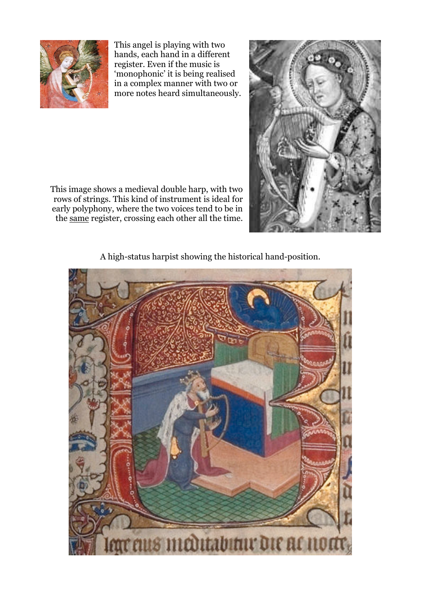

This angel is playing with two hands, each hand in a different register. Even if the music is 'monophonic' it is being realised in a complex manner with two or more notes heard simultaneously.

This image shows a medieval double harp, with two rows of strings. This kind of instrument is ideal for early polyphony, where the two voices tend to be in the same register, crossing each other all the time.



A high-status harpist showing the historical hand-position.